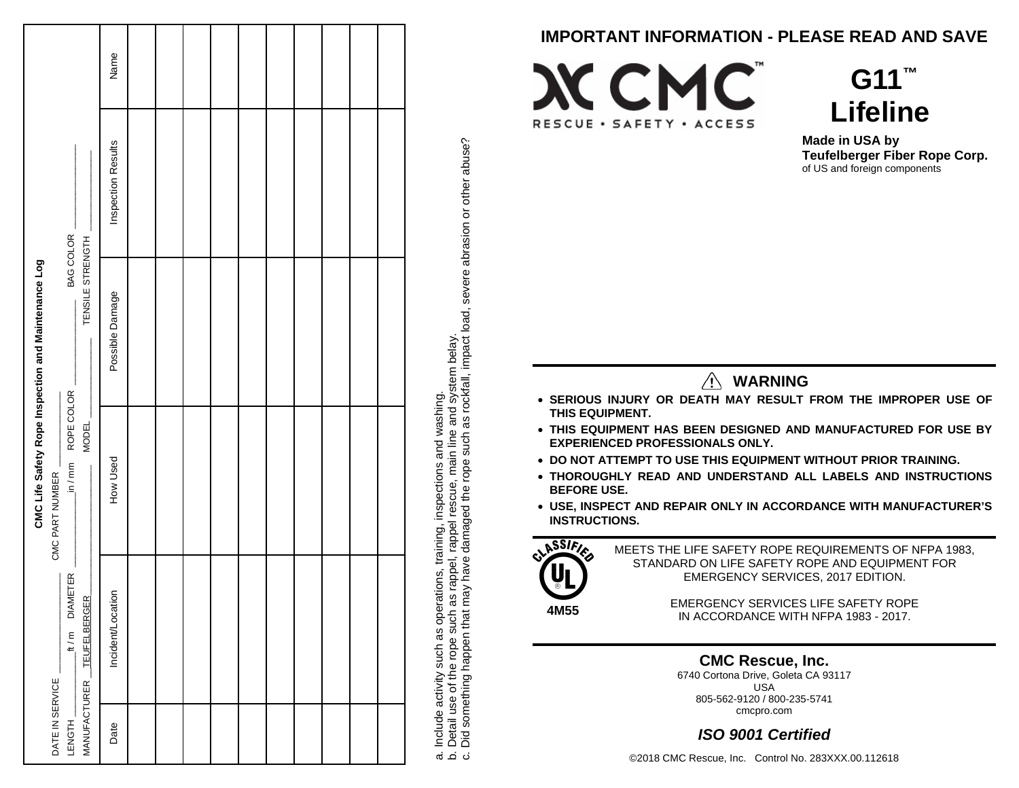|                                                                             |                       |          |  |  |  |  | <b>IMPORTANT INFORMATION - PLEASE READ AND SAVE</b>                                                                                            |
|-----------------------------------------------------------------------------|-----------------------|----------|--|--|--|--|------------------------------------------------------------------------------------------------------------------------------------------------|
|                                                                             | Name                  |          |  |  |  |  | $G11$ <sup>TM</sup>                                                                                                                            |
|                                                                             |                       |          |  |  |  |  | <b>XCMC</b>                                                                                                                                    |
|                                                                             |                       |          |  |  |  |  | <b>Lifeline</b><br>RESCUE · SAFETY · ACCESS                                                                                                    |
|                                                                             | Results<br>Inspection |          |  |  |  |  | Made in USA by<br>other abuse?<br>Teufelberger Fiber Rope Corp.<br>of US and foreign components                                                |
|                                                                             |                       |          |  |  |  |  | abrasion or                                                                                                                                    |
| COLOR<br>STRENGTH<br>BAG                                                    |                       |          |  |  |  |  |                                                                                                                                                |
| TENSILE                                                                     | Damage                |          |  |  |  |  | severe                                                                                                                                         |
|                                                                             | Possible              |          |  |  |  |  | and system belay.<br>as rockfall, impact load,                                                                                                 |
|                                                                             |                       |          |  |  |  |  | <b>WARNING</b><br>∕!∖                                                                                                                          |
| COLOR                                                                       |                       |          |  |  |  |  | . SERIOUS INJURY OR DEATH MAY RESULT FROM THE IMPROPER USE OF                                                                                  |
| CMC Life Safety Rope Inspection and Maintenance Log<br>ROPE<br><b>MODEL</b> |                       |          |  |  |  |  | washing<br>THIS EQUIPMENT.<br>. THIS EQUIPMENT HAS BEEN DESIGNED AND MANUFACTURED FOR USE BY<br>such<br><b>EXPERIENCED PROFESSIONALS ONLY.</b> |
|                                                                             |                       |          |  |  |  |  | and<br>• DO NOT ATTEMPT TO USE THIS EQUIPMENT WITHOUT PRIOR TRAINING.                                                                          |
| Ē<br>$\geq$                                                                 |                       | How Used |  |  |  |  | a, mai<br>rope<br>ections<br>. THOROUGHLY READ AND UNDERSTAND ALL LABELS AND INSTRUCTIONS<br><b>BEFORE USE.</b>                                |
| CMC PART NUMBER                                                             |                       |          |  |  |  |  | the<br>ă<br>• USE, INSPECT AND REPAIR ONLY IN ACCORDANCE WITH MANUFACTURER'S<br>rappel resi<br>damaged<br><b>INSTRUCTIONS.</b>                 |
|                                                                             |                       |          |  |  |  |  | training<br>LASSIFIES<br>MEETS THE LIFE SAFETY ROPE REQUIREMENTS OF NFPA 1983,                                                                 |
| ETER                                                                        |                       |          |  |  |  |  | STANDARD ON LIFE SAFETY ROPE AND EQUIPMENT FOR<br>$\overline{\mathsf{na}}$<br>tions<br>EMERGENCY SERVICES, 2017 EDITION.                       |
| <b>DIAME</b>                                                                | $\subset$             |          |  |  |  |  | ã<br>EMERGENCY SERVICES LIFE SAFETY ROPE<br>4M55                                                                                               |
| <b>TEUFELBERGER</b><br>ε                                                    | Incident/Locatio      |          |  |  |  |  | IN ACCORDANCE WITH NFPA 1983 - 2017.                                                                                                           |
| £,                                                                          |                       |          |  |  |  |  | <b>CMC Rescue, Inc.</b>                                                                                                                        |
|                                                                             |                       |          |  |  |  |  | 6740 Cortona Drive, Goleta CA 93117<br><b>USA</b>                                                                                              |
|                                                                             |                       |          |  |  |  |  | 805-562-9120 / 800-235-5741<br>cmcpro.com                                                                                                      |
| DATE IN SERVICE<br>MANUFACTURER<br>LENGTH                                   | Date                  |          |  |  |  |  | a. Include activity such as operat<br>b. Detail use of the rope such as<br>c. Did something happen that ma<br><b>ISO 9001 Certified</b>        |
|                                                                             |                       |          |  |  |  |  | ©2018 CMC Rescue, Inc. Control No. 283XXX.00.112618                                                                                            |







- **SERIOUS INJURY OR DEATH MAY RESULT FROM THE IMPROPER USE OF THIS EQUIPMENT.**
- **THIS EQUIPMENT HAS BEEN DESIGNED AND MANUFACTURED FOR USE BY EXPERIENCED PROFESSIONALS ONLY.**
- **DO NOT ATTEMPT TO USE THIS EQUIPMENT WITHOUT PRIOR TRAINING.**
- **THOROUGHLY READ AND UNDERSTAND ALL LABELS AND INSTRUCTIONS BEFORE USE.**
- **USE, INSPECT AND REPAIR ONLY IN ACCORDANCE WITH MANUFACTURER'S INSTRUCTIONS.**



# *ISO 9001 Certified*